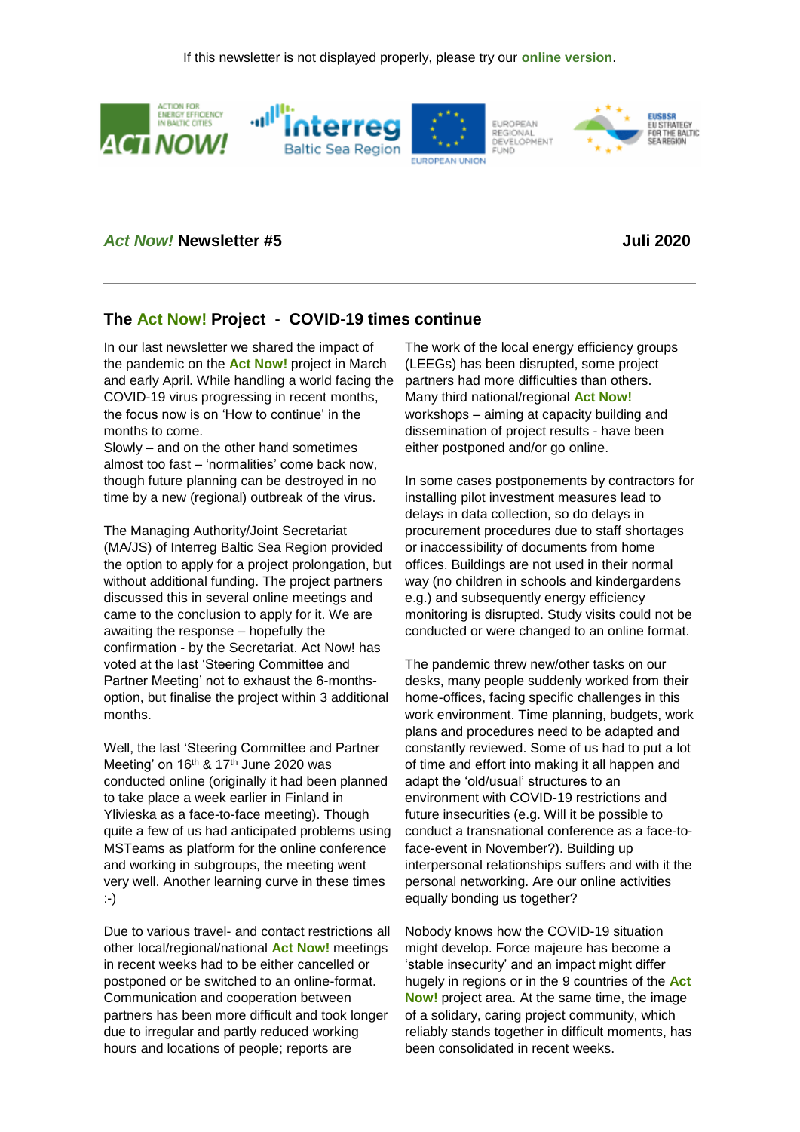

#### *Act Now!* **Newsletter #5 Juli 2020**

### **The Act Now! Project - COVID-19 times continue**

In our last newsletter we shared the impact of the pandemic on the **Act Now!** project in March and early April. While handling a world facing the COVID-19 virus progressing in recent months, the focus now is on 'How to continue' in the months to come.

Slowly – and on the other hand sometimes almost too fast – 'normalities' come back now, though future planning can be destroyed in no time by a new (regional) outbreak of the virus.

The Managing Authority/Joint Secretariat (MA/JS) of Interreg Baltic Sea Region provided the option to apply for a project prolongation, but without additional funding. The project partners discussed this in several online meetings and came to the conclusion to apply for it. We are awaiting the response – hopefully the confirmation - by the Secretariat. Act Now! has voted at the last 'Steering Committee and Partner Meeting' not to exhaust the 6-monthsoption, but finalise the project within 3 additional months.

Well, the last 'Steering Committee and Partner Meeting' on 16<sup>th</sup> & 17<sup>th</sup> June 2020 was conducted online (originally it had been planned to take place a week earlier in Finland in Ylivieska as a face-to-face meeting). Though quite a few of us had anticipated problems using MSTeams as platform for the online conference and working in subgroups, the meeting went very well. Another learning curve in these times :-)

Due to various travel- and contact restrictions all other local/regional/national **Act Now!** meetings in recent weeks had to be either cancelled or postponed or be switched to an online-format. Communication and cooperation between partners has been more difficult and took longer due to irregular and partly reduced working hours and locations of people; reports are

The work of the local energy efficiency groups (LEEGs) has been disrupted, some project partners had more difficulties than others. Many third national/regional **Act Now!**  workshops – aiming at capacity building and dissemination of project results - have been either postponed and/or go online.

In some cases postponements by contractors for installing pilot investment measures lead to delays in data collection, so do delays in procurement procedures due to staff shortages or inaccessibility of documents from home offices. Buildings are not used in their normal way (no children in schools and kindergardens e.g.) and subsequently energy efficiency monitoring is disrupted. Study visits could not be conducted or were changed to an online format.

The pandemic threw new/other tasks on our desks, many people suddenly worked from their home-offices, facing specific challenges in this work environment. Time planning, budgets, work plans and procedures need to be adapted and constantly reviewed. Some of us had to put a lot of time and effort into making it all happen and adapt the 'old/usual' structures to an environment with COVID-19 restrictions and future insecurities (e.g. Will it be possible to conduct a transnational conference as a face-toface-event in November?). Building up interpersonal relationships suffers and with it the personal networking. Are our online activities equally bonding us together?

Nobody knows how the COVID-19 situation might develop. Force majeure has become a 'stable insecurity' and an impact might differ hugely in regions or in the 9 countries of the **Act Now!** project area. At the same time, the image of a solidary, caring project community, which reliably stands together in difficult moments, has been consolidated in recent weeks.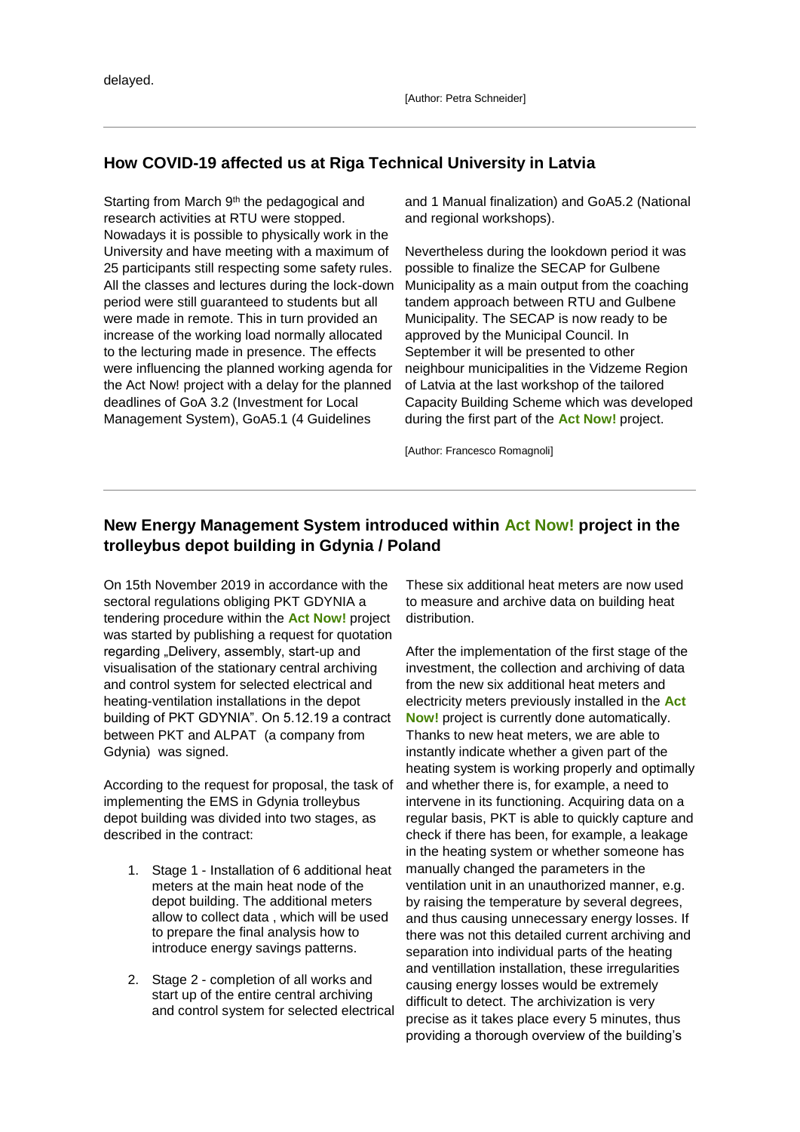# **How COVID-19 affected us at Riga Technical University in Latvia**

Starting from March 9<sup>th</sup> the pedagogical and research activities at RTU were stopped. Nowadays it is possible to physically work in the University and have meeting with a maximum of 25 participants still respecting some safety rules. All the classes and lectures during the lock-down period were still guaranteed to students but all were made in remote. This in turn provided an increase of the working load normally allocated to the lecturing made in presence. The effects were influencing the planned working agenda for the Act Now! project with a delay for the planned deadlines of GoA 3.2 (Investment for Local Management System), GoA5.1 (4 Guidelines

and 1 Manual finalization) and GoA5.2 (National and regional workshops).

Nevertheless during the lookdown period it was possible to finalize the SECAP for Gulbene Municipality as a main output from the coaching tandem approach between RTU and Gulbene Municipality. The SECAP is now ready to be approved by the Municipal Council. In September it will be presented to other neighbour municipalities in the Vidzeme Region of Latvia at the last workshop of the tailored Capacity Building Scheme which was developed during the first part of the **Act Now!** project.

[Author: Francesco Romagnoli]

# **New Energy Management System introduced within Act Now! project in the trolleybus depot building in Gdynia / Poland**

On 15th November 2019 in accordance with the sectoral regulations obliging PKT GDYNIA a tendering procedure within the **Act Now!** project was started by publishing a request for quotation regarding "Delivery, assembly, start-up and visualisation of the stationary central archiving and control system for selected electrical and heating-ventilation installations in the depot building of PKT GDYNIA". On 5.12.19 a contract between PKT and ALPAT (a company from Gdynia) was signed.

According to the request for proposal, the task of implementing the EMS in Gdynia trolleybus depot building was divided into two stages, as described in the contract:

- 1. Stage 1 Installation of 6 additional heat meters at the main heat node of the depot building. The additional meters allow to collect data , which will be used to prepare the final analysis how to introduce energy savings patterns.
- 2. Stage 2 completion of all works and start up of the entire central archiving and control system for selected electrical

These six additional heat meters are now used to measure and archive data on building heat distribution.

After the implementation of the first stage of the investment, the collection and archiving of data from the new six additional heat meters and electricity meters previously installed in the **Act Now!** project is currently done automatically. Thanks to new heat meters, we are able to instantly indicate whether a given part of the heating system is working properly and optimally and whether there is, for example, a need to intervene in its functioning. Acquiring data on a regular basis, PKT is able to quickly capture and check if there has been, for example, a leakage in the heating system or whether someone has manually changed the parameters in the ventilation unit in an unauthorized manner, e.g. by raising the temperature by several degrees, and thus causing unnecessary energy losses. If there was not this detailed current archiving and separation into individual parts of the heating and ventillation installation, these irregularities causing energy losses would be extremely difficult to detect. The archivization is very precise as it takes place every 5 minutes, thus providing a thorough overview of the building's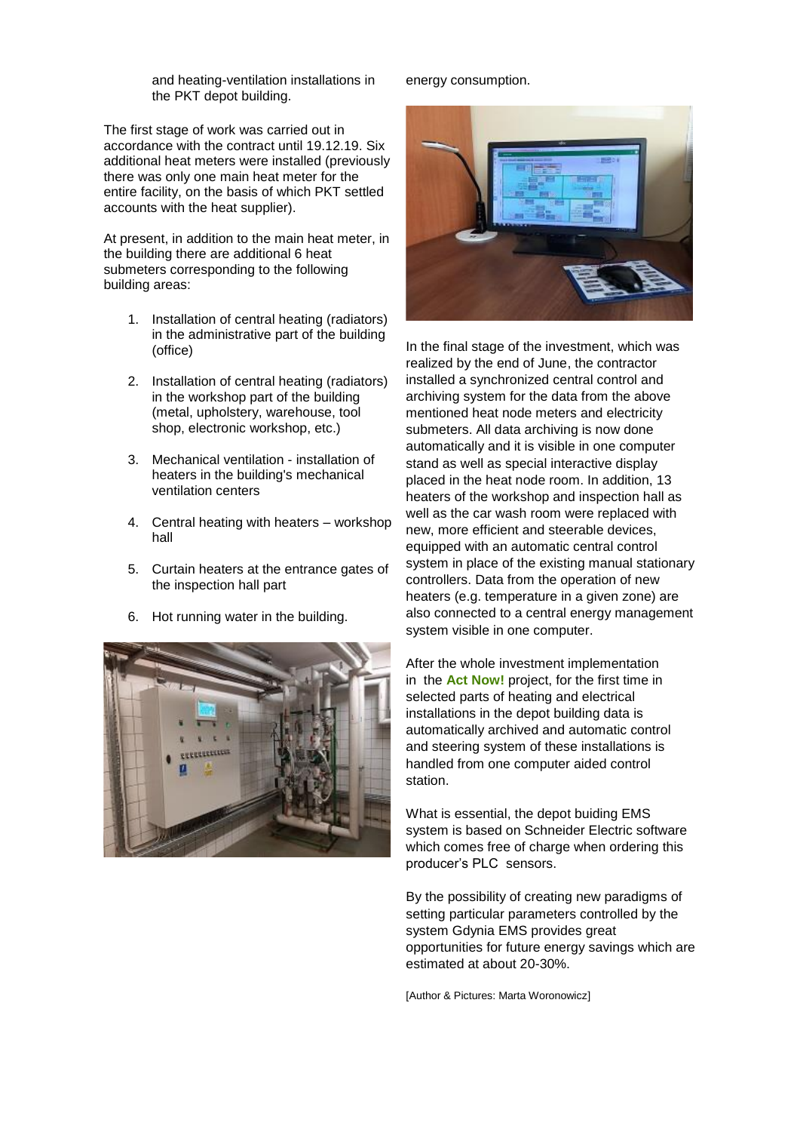and heating-ventilation installations in the PKT depot building.

The first stage of work was carried out in accordance with the contract until 19.12.19. Six additional heat meters were installed (previously there was only one main heat meter for the entire facility, on the basis of which PKT settled accounts with the heat supplier).

At present, in addition to the main heat meter, in the building there are additional 6 heat submeters corresponding to the following building areas:

- 1. Installation of central heating (radiators) in the administrative part of the building (office)
- 2. Installation of central heating (radiators) in the workshop part of the building (metal, upholstery, warehouse, tool shop, electronic workshop, etc.)
- 3. Mechanical ventilation installation of heaters in the building's mechanical ventilation centers
- 4. Central heating with heaters workshop hall
- 5. Curtain heaters at the entrance gates of the inspection hall part
- 6. Hot running water in the building.



#### energy consumption.



In the final stage of the investment, which was realized by the end of June, the contractor installed a synchronized central control and archiving system for the data from the above mentioned heat node meters and electricity submeters. All data archiving is now done automatically and it is visible in one computer stand as well as special interactive display placed in the heat node room. In addition, 13 heaters of the workshop and inspection hall as well as the car wash room were replaced with new, more efficient and steerable devices, equipped with an automatic central control system in place of the existing manual stationary controllers. Data from the operation of new heaters (e.g. temperature in a given zone) are also connected to a central energy management system visible in one computer.

After the whole investment implementation in the **Act Now!** project, for the first time in selected parts of heating and electrical installations in the depot building data is automatically archived and automatic control and steering system of these installations is handled from one computer aided control station.

What is essential, the depot buiding EMS system is based on Schneider Electric software which comes free of charge when ordering this producer's PLC sensors.

By the possibility of creating new paradigms of setting particular parameters controlled by the system Gdynia EMS provides great opportunities for future energy savings which are estimated at about 20-30%.

[Author & Pictures: Marta Woronowicz]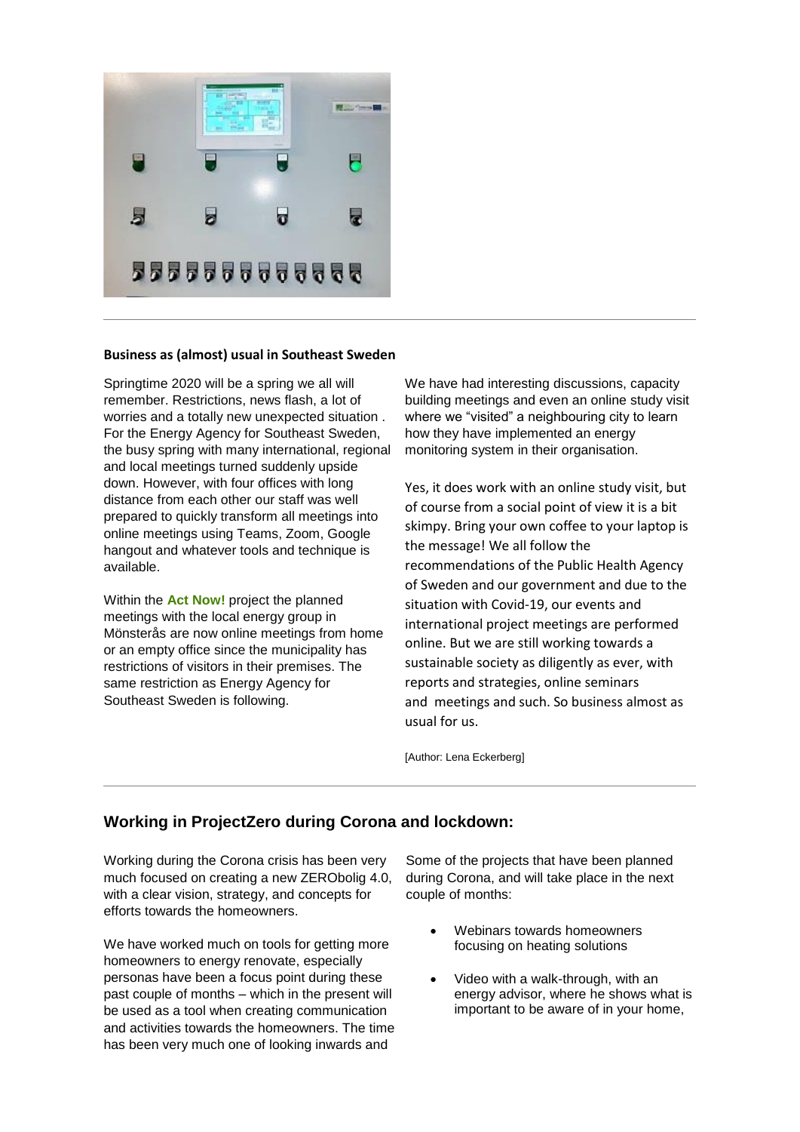

#### **Business as (almost) usual in Southeast Sweden**

Springtime 2020 will be a spring we all will remember. Restrictions, news flash, a lot of worries and a totally new unexpected situation . For the Energy Agency for Southeast Sweden, the busy spring with many international, regional and local meetings turned suddenly upside down. However, with four offices with long distance from each other our staff was well prepared to quickly transform all meetings into online meetings using Teams, Zoom, Google hangout and whatever tools and technique is available.

Within the **Act Now!** project the planned meetings with the local energy group in Mönsterås are now online meetings from home or an empty office since the municipality has restrictions of visitors in their premises. The same restriction as Energy Agency for Southeast Sweden is following.

We have had interesting discussions, capacity building meetings and even an online study visit where we "visited" a neighbouring city to learn how they have implemented an energy monitoring system in their organisation.

Yes, it does work with an online study visit, but of course from a social point of view it is a bit skimpy. Bring your own coffee to your laptop is the message! We all follow the recommendations of the Public Health Agency of Sweden and our government and due to the situation with Covid-19, our events and international project meetings are performed online. But we are still working towards a sustainable society as diligently as ever, with reports and strategies, online seminars and meetings and such. So business almost as usual for us.

[Author: Lena Eckerberg]

# **Working in ProjectZero during Corona and lockdown:**

Working during the Corona crisis has been very much focused on creating a new ZERObolig 4.0, with a clear vision, strategy, and concepts for efforts towards the homeowners.

We have worked much on tools for getting more homeowners to energy renovate, especially personas have been a focus point during these past couple of months – which in the present will be used as a tool when creating communication and activities towards the homeowners. The time has been very much one of looking inwards and

Some of the projects that have been planned during Corona, and will take place in the next couple of months:

- Webinars towards homeowners focusing on heating solutions
- Video with a walk-through, with an energy advisor, where he shows what is important to be aware of in your home,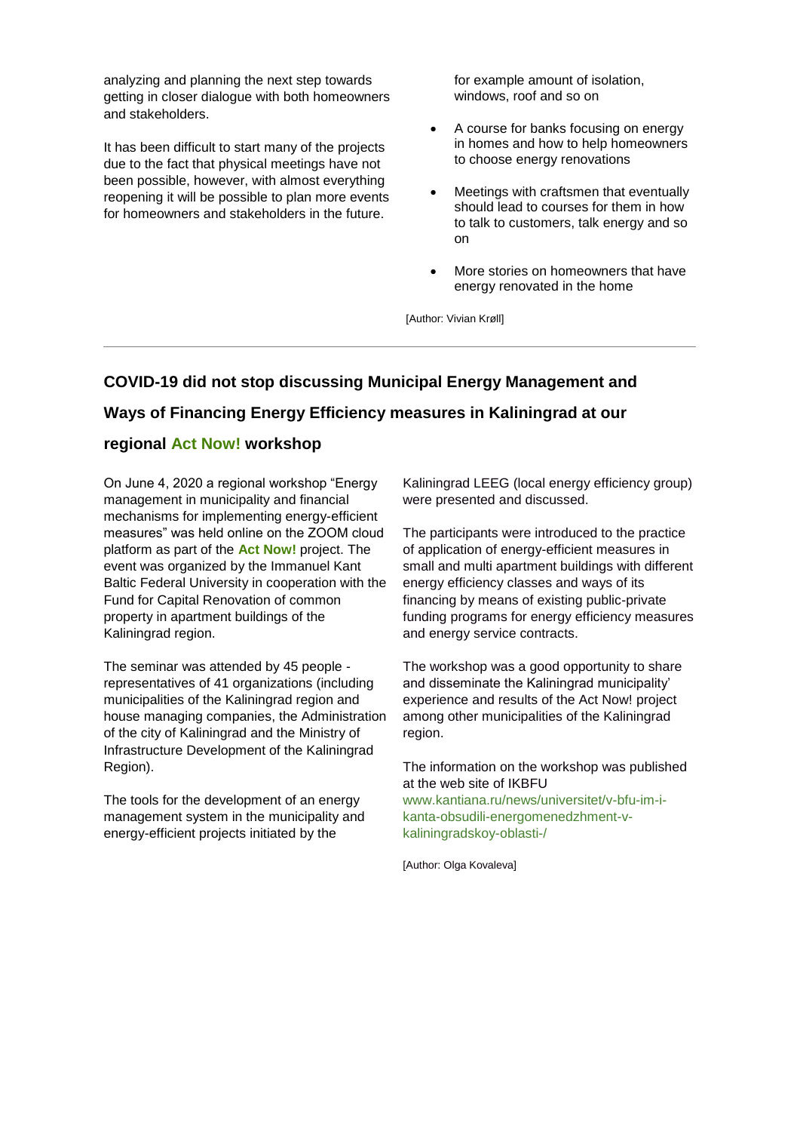analyzing and planning the next step towards getting in closer dialogue with both homeowners and stakeholders.

It has been difficult to start many of the projects due to the fact that physical meetings have not been possible, however, with almost everything reopening it will be possible to plan more events for homeowners and stakeholders in the future.

for example amount of isolation, windows, roof and so on

- A course for banks focusing on energy in homes and how to help homeowners to choose energy renovations
- Meetings with craftsmen that eventually should lead to courses for them in how to talk to customers, talk energy and so on
- More stories on homeowners that have energy renovated in the home

[Author: Vivian Krøll]

# **COVID-19 did not stop discussing Municipal Energy Management and Ways of Financing Energy Efficiency measures in Kaliningrad at our**

### **regional Act Now! workshop**

On June 4, 2020 a regional workshop "Energy management in municipality and financial mechanisms for implementing energy-efficient measures" was held online on the ZOOM cloud platform as part of the **Act Now!** project. The event was organized by the Immanuel Kant Baltic Federal University in cooperation with the Fund for Capital Renovation of common property in apartment buildings of the Kaliningrad region.

The seminar was attended by 45 people representatives of 41 organizations (including municipalities of the Kaliningrad region and house managing companies, the Administration of the city of Kaliningrad and the Ministry of Infrastructure Development of the Kaliningrad Region).

The tools for the development of an energy management system in the municipality and energy-efficient projects initiated by the

Kaliningrad LEEG (local energy efficiency group) were presented and discussed.

The participants were introduced to the practice of application of energy-efficient measures in small and multi apartment buildings with different energy efficiency classes and ways of its financing by means of existing public-private funding programs for energy efficiency measures and energy service contracts.

The workshop was a good opportunity to share and disseminate the Kaliningrad municipality' experience and results of the Act Now! project among other municipalities of the Kaliningrad region.

The information on the workshop was published at the web site of IKBFU [www.kantiana.ru/news/universitet/v-bfu-im-i](https://191838.seu.cleverreach.com/c/39535611/08243c902-1fggd1i)[kanta-obsudili-energomenedzhment-v](https://191838.seu.cleverreach.com/c/39535611/08243c902-1fggd1i)[kaliningradskoy-oblasti-/](https://191838.seu.cleverreach.com/c/39535611/08243c902-1fggd1i)

[Author: Olga Kovaleva]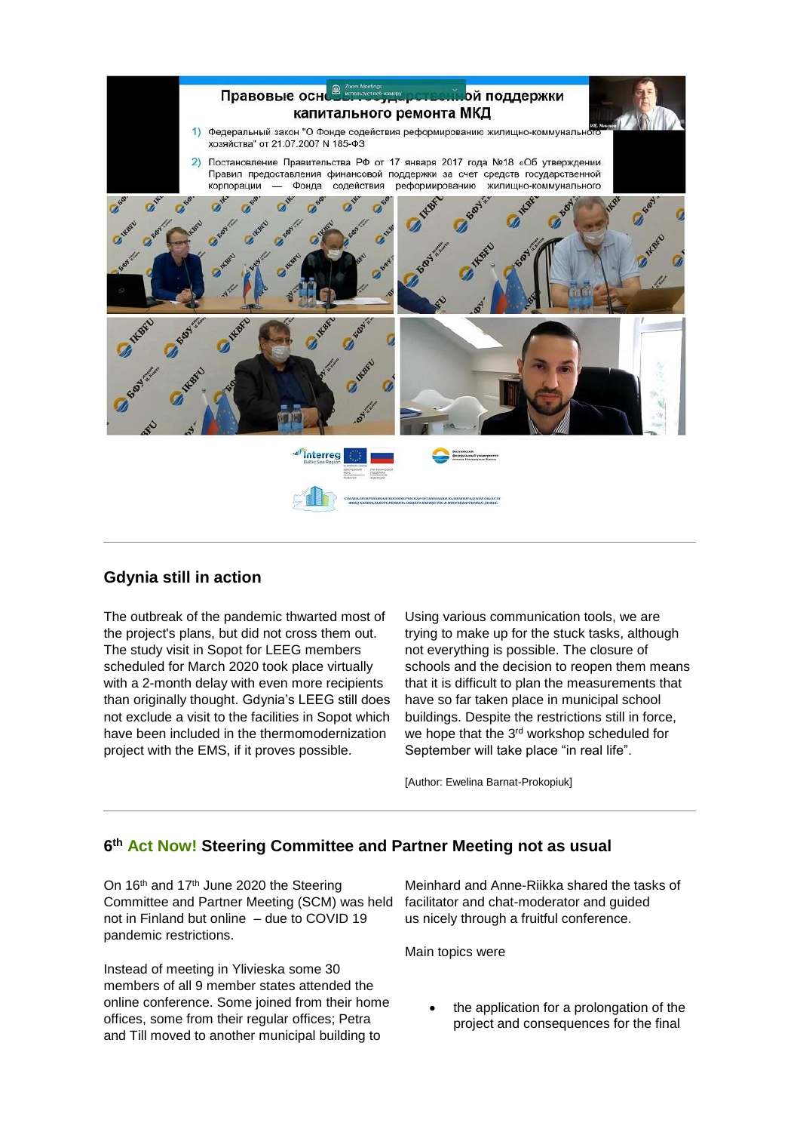

#### **Gdynia still in action**

The outbreak of the pandemic thwarted most of the project's plans, but did not cross them out. The study visit in Sopot for LEEG members scheduled for March 2020 took place virtually with a 2-month delay with even more recipients than originally thought. Gdynia's LEEG still does not exclude a visit to the facilities in Sopot which have been included in the thermomodernization project with the EMS, if it proves possible.

Using various communication tools, we are trying to make up for the stuck tasks, although not everything is possible. The closure of schools and the decision to reopen them means that it is difficult to plan the measurements that have so far taken place in municipal school buildings. Despite the restrictions still in force, we hope that the 3<sup>rd</sup> workshop scheduled for September will take place "in real life".

[Author: Ewelina Barnat-Prokopiuk]

### **6 th Act Now! Steering Committee and Partner Meeting not as usual**

On 16<sup>th</sup> and 17<sup>th</sup> June 2020 the Steering Committee and Partner Meeting (SCM) was held not in Finland but online – due to COVID 19 pandemic restrictions.

Instead of meeting in Ylivieska some 30 members of all 9 member states attended the online conference. Some joined from their home offices, some from their regular offices; Petra and Till moved to another municipal building to

Meinhard and Anne-Riikka shared the tasks of facilitator and chat-moderator and guided us nicely through a fruitful conference.

Main topics were

• the application for a prolongation of the project and consequences for the final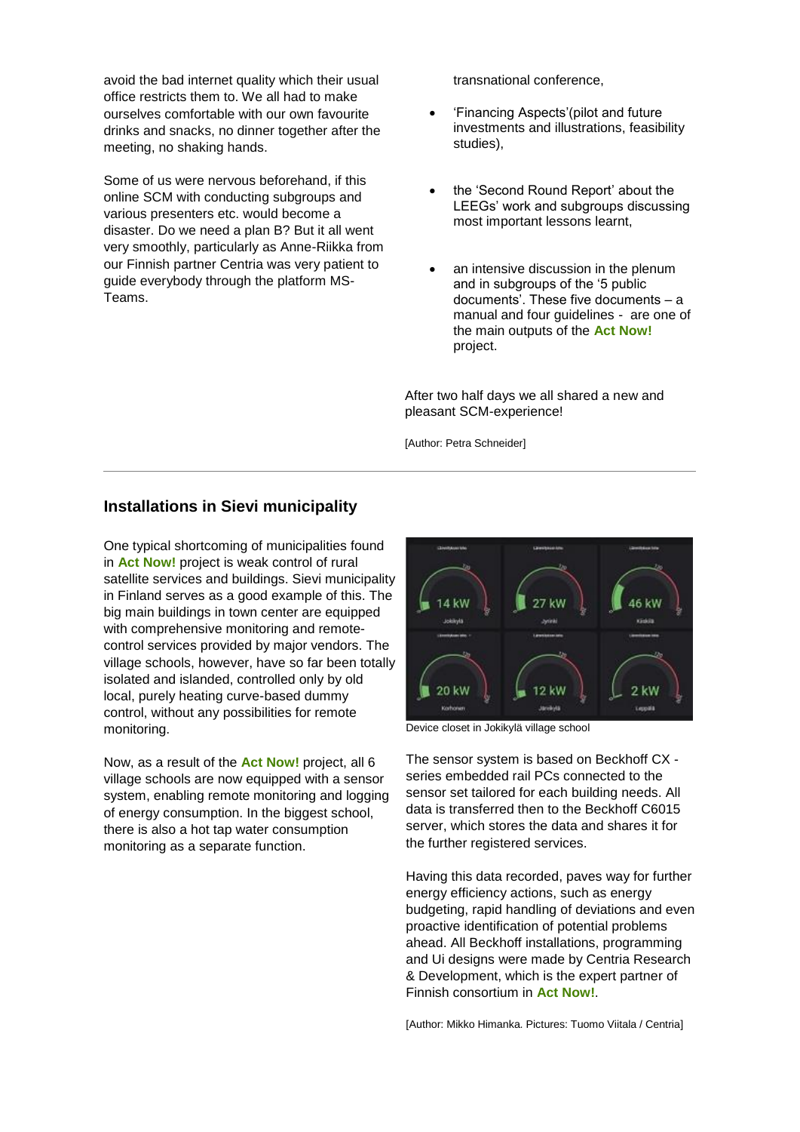avoid the bad internet quality which their usual office restricts them to. We all had to make ourselves comfortable with our own favourite drinks and snacks, no dinner together after the meeting, no shaking hands.

Some of us were nervous beforehand, if this online SCM with conducting subgroups and various presenters etc. would become a disaster. Do we need a plan B? But it all went very smoothly, particularly as Anne-Riikka from our Finnish partner Centria was very patient to guide everybody through the platform MS-Teams.

transnational conference,

- 'Financing Aspects'(pilot and future investments and illustrations, feasibility studies),
- the 'Second Round Report' about the LEEGs' work and subgroups discussing most important lessons learnt,
- an intensive discussion in the plenum and in subgroups of the '5 public documents'. These five documents – a manual and four guidelines - are one of the main outputs of the **Act Now!** project.

After two half days we all shared a new and pleasant SCM-experience!

[Author: Petra Schneider]

### **Installations in Sievi municipality**

One typical shortcoming of municipalities found in **Act Now!** project is weak control of rural satellite services and buildings. Sievi municipality in Finland serves as a good example of this. The big main buildings in town center are equipped with comprehensive monitoring and remotecontrol services provided by major vendors. The village schools, however, have so far been totally isolated and islanded, controlled only by old local, purely heating curve-based dummy control, without any possibilities for remote monitoring.

Now, as a result of the **Act Now!** project, all 6 village schools are now equipped with a sensor system, enabling remote monitoring and logging of energy consumption. In the biggest school, there is also a hot tap water consumption monitoring as a separate function.



Device closet in Jokikylä village school

The sensor system is based on Beckhoff CX series embedded rail PCs connected to the sensor set tailored for each building needs. All data is transferred then to the Beckhoff C6015 server, which stores the data and shares it for the further registered services.

Having this data recorded, paves way for further energy efficiency actions, such as energy budgeting, rapid handling of deviations and even proactive identification of potential problems ahead. All Beckhoff installations, programming and Ui designs were made by Centria Research & Development, which is the expert partner of Finnish consortium in **Act Now!**.

[Author: Mikko Himanka. Pictures: Tuomo Viitala / Centria]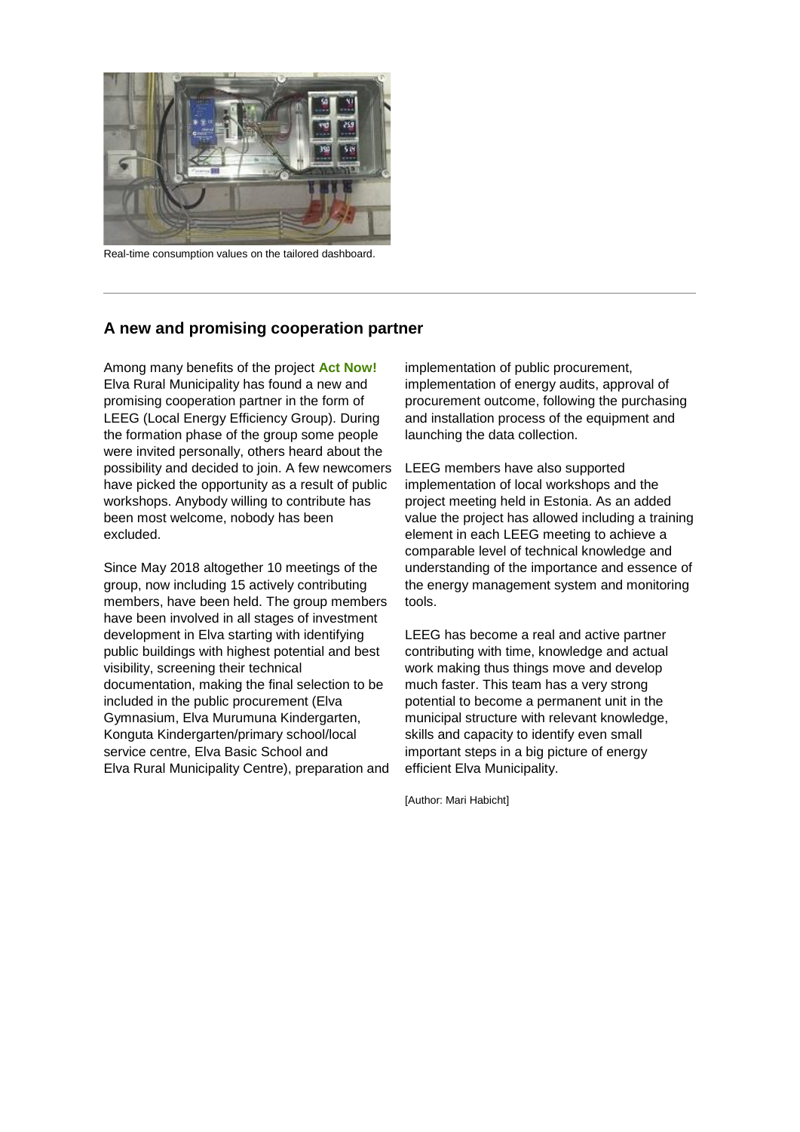

Real-time consumption values on the tailored dashboard.

### **A new and promising cooperation partner**

Among many benefits of the project **Act Now!** Elva Rural Municipality has found a new and promising cooperation partner in the form of LEEG (Local Energy Efficiency Group). During the formation phase of the group some people were invited personally, others heard about the possibility and decided to join. A few newcomers have picked the opportunity as a result of public workshops. Anybody willing to contribute has been most welcome, nobody has been excluded.

Since May 2018 altogether 10 meetings of the group, now including 15 actively contributing members, have been held. The group members have been involved in all stages of investment development in Elva starting with identifying public buildings with highest potential and best visibility, screening their technical documentation, making the final selection to be included in the public procurement (Elva Gymnasium, Elva Murumuna Kindergarten, Konguta Kindergarten/primary school/local service centre, Elva Basic School and Elva Rural Municipality Centre), preparation and implementation of public procurement, implementation of energy audits, approval of procurement outcome, following the purchasing and installation process of the equipment and launching the data collection.

LEEG members have also supported implementation of local workshops and the project meeting held in Estonia. As an added value the project has allowed including a training element in each LEEG meeting to achieve a comparable level of technical knowledge and understanding of the importance and essence of the energy management system and monitoring tools.

LEEG has become a real and active partner contributing with time, knowledge and actual work making thus things move and develop much faster. This team has a very strong potential to become a permanent unit in the municipal structure with relevant knowledge, skills and capacity to identify even small important steps in a big picture of energy efficient Elva Municipality.

[Author: Mari Habicht]